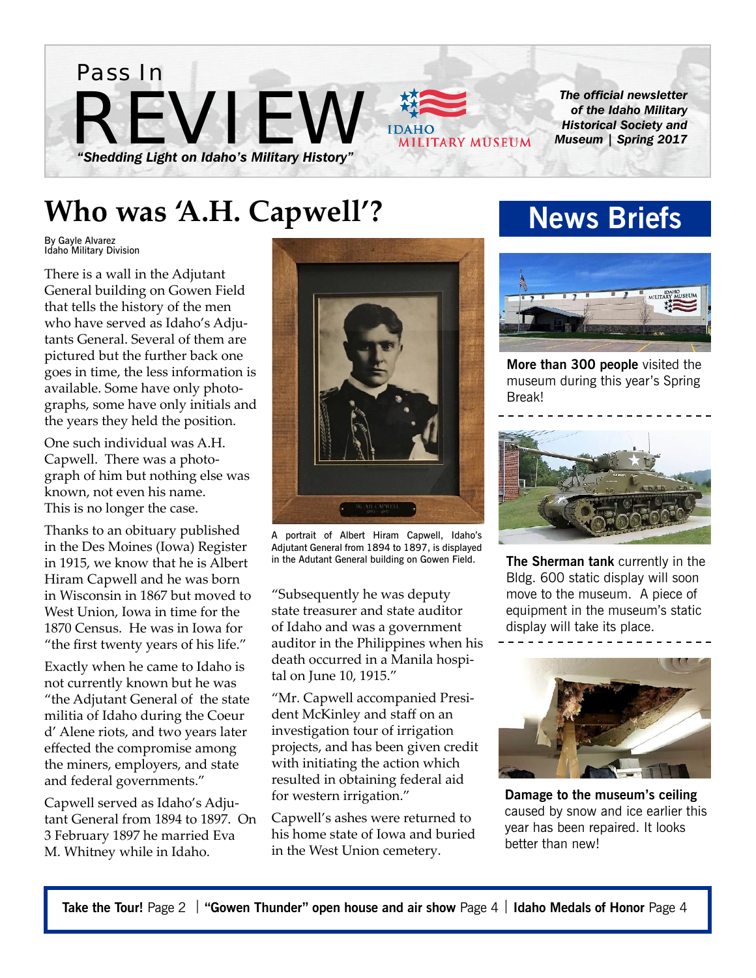

### **Who was 'A.H. Capwell'?**

By Gayle Alvarez Idaho Military Division

There is a wall in the Adjutant General building on Gowen Field that tells the history of the men who have served as Idaho's Adjutants General. Several of them are pictured but the further back one goes in time, the less information is available. Some have only photographs, some have only initials and the years they held the position.

One such individual was A.H. Capwell. There was a photograph of him but nothing else was known, not even his name. This is no longer the case.

Thanks to an obituary published in the Des Moines (Iowa) Register in 1915, we know that he is Albert Hiram Capwell and he was born in Wisconsin in 1867 but moved to West Union, Iowa in time for the 1870 Census. He was in Iowa for "the first twenty years of his life."

Exactly when he came to Idaho is not currently known but he was "the Adjutant General of the state militia of Idaho during the Coeur d' Alene riots, and two years later effected the compromise among the miners, employers, and state and federal governments."

Capwell served as Idaho's Adjutant General from 1894 to 1897. On 3 February 1897 he married Eva M. Whitney while in Idaho.



A portrait of Albert Hiram Capwell, Idaho's Adjutant General from 1894 to 1897, is displayed in the Adutant General building on Gowen Field.

"Subsequently he was deputy state treasurer and state auditor of Idaho and was a government auditor in the Philippines when his death occurred in a Manila hospital on June 10, 1915."

"Mr. Capwell accompanied President McKinley and staff on an investigation tour of irrigation projects, and has been given credit with initiating the action which resulted in obtaining federal aid for western irrigation."

Capwell's ashes were returned to his home state of Iowa and buried in the West Union cemetery.

### **News Briefs**



**More than 300 people** visited the museum during this year's Spring Break!



**The Sherman tank** currently in the Bldg. 600 static display will soon move to the museum. A piece of equipment in the museum's static display will take its place.



**Damage to the museum's ceiling**  caused by snow and ice earlier this year has been repaired. It looks better than new!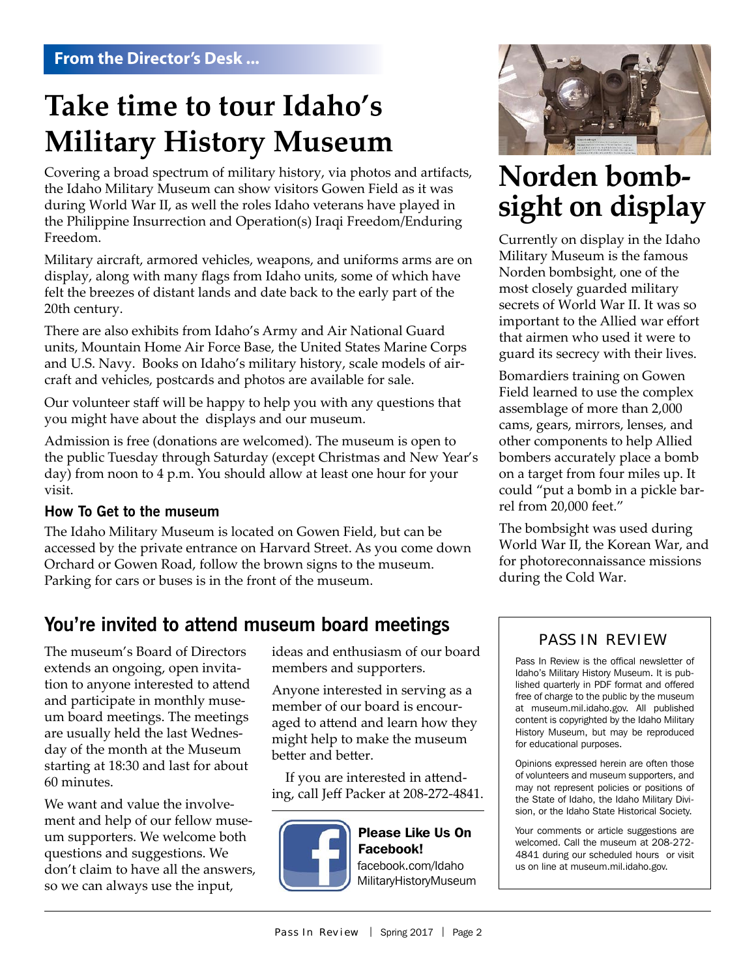### **Take time to tour Idaho's Military History Museum**

Covering a broad spectrum of military history, via photos and artifacts, the Idaho Military Museum can show visitors Gowen Field as it was during World War II, as well the roles Idaho veterans have played in the Philippine Insurrection and Operation(s) Iraqi Freedom/Enduring Freedom.

Military aircraft, armored vehicles, weapons, and uniforms arms are on display, along with many flags from Idaho units, some of which have felt the breezes of distant lands and date back to the early part of the 20th century.

There are also exhibits from Idaho's Army and Air National Guard units, Mountain Home Air Force Base, the United States Marine Corps and U.S. Navy. Books on Idaho's military history, scale models of aircraft and vehicles, postcards and photos are available for sale.

Our volunteer staff will be happy to help you with any questions that you might have about the displays and our museum.

Admission is free (donations are welcomed). The museum is open to the public Tuesday through Saturday (except Christmas and New Year's day) from noon to 4 p.m. You should allow at least one hour for your visit.

#### **How To Get to the museum**

The Idaho Military Museum is located on Gowen Field, but can be accessed by the private entrance on Harvard Street. As you come down Orchard or Gowen Road, follow the brown signs to the museum. Parking for cars or buses is in the front of the museum.

### **You're invited to attend museum board meetings**

The museum's Board of Directors extends an ongoing, open invitation to anyone interested to attend and participate in monthly museum board meetings. The meetings are usually held the last Wednesday of the month at the Museum starting at 18:30 and last for about 60 minutes.

We want and value the involvement and help of our fellow museum supporters. We welcome both questions and suggestions. We don't claim to have all the answers, so we can always use the input,

ideas and enthusiasm of our board members and supporters.

Anyone interested in serving as a member of our board is encouraged to attend and learn how they might help to make the museum better and better.

 If you are interested in attending, call Jeff Packer at 208-272-4841.



#### Please Like Us On Facebook! facebook.com/Idaho MilitaryHistoryMuseum



# **Norden bomb- sight on display**

Currently on display in the Idaho Military Museum is the famous Norden bombsight, one of the most closely guarded military secrets of World War II. It was so important to the Allied war effort that airmen who used it were to guard its secrecy with their lives.

Bomardiers training on Gowen Field learned to use the complex assemblage of more than 2,000 cams, gears, mirrors, lenses, and other components to help Allied bombers accurately place a bomb on a target from four miles up. It could "put a bomb in a pickle barrel from 20,000 feet."

The bombsight was used during World War II, the Korean War, and for photoreconnaissance missions during the Cold War.

#### PASS IN REVIEW

Pass In Review is the offical newsletter of Idaho's Military History Museum. It is published quarterly in PDF format and offered free of charge to the public by the museum at museum.mil.idaho.gov. All published content is copyrighted by the Idaho Military History Museum, but may be reproduced for educational purposes.

Opinions expressed herein are often those of volunteers and museum supporters, and may not represent policies or positions of the State of Idaho, the Idaho Military Division, or the Idaho State Historical Society.

Your comments or article suggestions are welcomed. Call the museum at 208-272- 4841 during our scheduled hours or visit us on line at museum.mil.idaho.gov.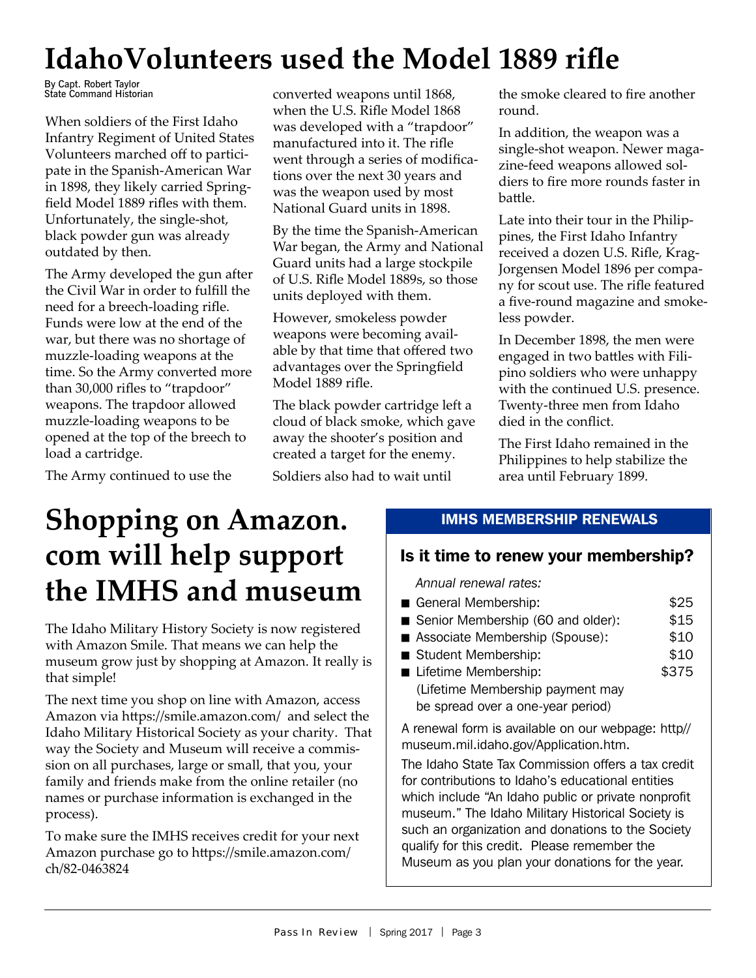## **IdahoVolunteers used the Model 1889 rifle**

By Capt. Robert Taylor State Command Historian

When soldiers of the First Idaho Infantry Regiment of United States Volunteers marched off to participate in the Spanish-American War in 1898, they likely carried Springfield Model 1889 rifles with them. Unfortunately, the single-shot, black powder gun was already outdated by then.

The Army developed the gun after the Civil War in order to fulfill the need for a breech-loading rifle. Funds were low at the end of the war, but there was no shortage of muzzle-loading weapons at the time. So the Army converted more than 30,000 rifles to "trapdoor" weapons. The trapdoor allowed muzzle-loading weapons to be opened at the top of the breech to load a cartridge.

The Army continued to use the

converted weapons until 1868, when the U.S. Rifle Model 1868 was developed with a "trapdoor" manufactured into it. The rifle went through a series of modifications over the next 30 years and was the weapon used by most National Guard units in 1898.

By the time the Spanish-American War began, the Army and National Guard units had a large stockpile of U.S. Rifle Model 1889s, so those units deployed with them.

However, smokeless powder weapons were becoming available by that time that offered two advantages over the Springfield Model 1889 rifle.

The black powder cartridge left a cloud of black smoke, which gave away the shooter's position and created a target for the enemy.

Soldiers also had to wait until

the smoke cleared to fire another round.

In addition, the weapon was a single-shot weapon. Newer magazine-feed weapons allowed soldiers to fire more rounds faster in battle.

Late into their tour in the Philippines, the First Idaho Infantry received a dozen U.S. Rifle, Krag-Jorgensen Model 1896 per company for scout use. The rifle featured a five-round magazine and smokeless powder.

In December 1898, the men were engaged in two battles with Filipino soldiers who were unhappy with the continued U.S. presence. Twenty-three men from Idaho died in the conflict.

The First Idaho remained in the Philippines to help stabilize the area until February 1899.

### **Shopping on Amazon. com will help support the IMHS and museum**

The Idaho Military History Society is now registered with Amazon Smile. That means we can help the museum grow just by shopping at Amazon. It really is that simple!

The next time you shop on line with Amazon, access Amazon via https://smile.amazon.com/ and select the Idaho Military Historical Society as your charity. That way the Society and Museum will receive a commission on all purchases, large or small, that you, your family and friends make from the online retailer (no names or purchase information is exchanged in the process).

To make sure the IMHS receives credit for your next Amazon purchase go to https://smile.amazon.com/ ch/82-0463824

#### IMHS MEMBERSHIP RENEWALS

### Is it time to renew your membership?

*Annual renewal rates:* 

- \$25 General Membership:
- \$15 Senior Membership (60 and older):
- \$10 ■ Associate Membership (Spouse):
- \$10 Student Membership:
- \$375 **Lifetime Membership:** (Lifetime Membership payment may be spread over a one-year period)

A renewal form is available on our webpage: http// museum.mil.idaho.gov/Application.htm.

The Idaho State Tax Commission offers a tax credit for contributions to Idaho's educational entities which include "An Idaho public or private nonprofit museum." The Idaho Military Historical Society is such an organization and donations to the Society qualify for this credit. Please remember the Museum as you plan your donations for the year.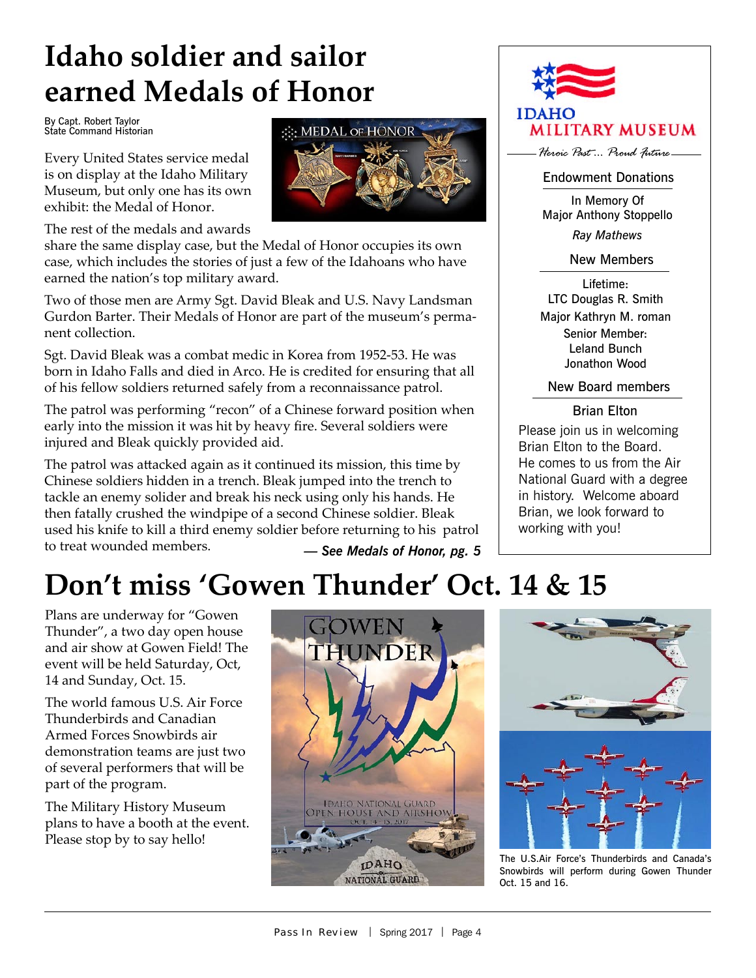# **Idaho soldier and sailor earned Medals of Honor**

By Capt. Robert Taylor State Command Historian

Every United States service medal is on display at the Idaho Military Museum, but only one has its own exhibit: the Medal of Honor.

The rest of the medals and awards

share the same display case, but the Medal of Honor occupies its own case, which includes the stories of just a few of the Idahoans who have earned the nation's top military award.

Two of those men are Army Sgt. David Bleak and U.S. Navy Landsman Gurdon Barter. Their Medals of Honor are part of the museum's permanent collection.

Sgt. David Bleak was a combat medic in Korea from 1952-53. He was born in Idaho Falls and died in Arco. He is credited for ensuring that all of his fellow soldiers returned safely from a reconnaissance patrol.

The patrol was performing "recon" of a Chinese forward position when early into the mission it was hit by heavy fire. Several soldiers were injured and Bleak quickly provided aid.

The patrol was attacked again as it continued its mission, this time by Chinese soldiers hidden in a trench. Bleak jumped into the trench to tackle an enemy solider and break his neck using only his hands. He then fatally crushed the windpipe of a second Chinese soldier. Bleak used his knife to kill a third enemy soldier before returning to his patrol to treat wounded members. *— See Medals of Honor, pg. 5* **IDAHO MILITARY MUSEUM** 

*Heroic Past ... Proud Future*

Endowment Donations

In Memory Of Major Anthony Stoppello *Ray Mathews*

New Members

Lifetime: LTC Douglas R. Smith Major Kathryn M. roman Senior Member: Leland Bunch Jonathon Wood

New Board members

#### Brian Elton

Please join us in welcoming Brian Elton to the Board. He comes to us from the Air National Guard with a degree in history. Welcome aboard Brian, we look forward to working with you!

### **Don't miss 'Gowen Thunder' Oct. 14 & 15**

Plans are underway for "Gowen Thunder", a two day open house and air show at Gowen Field! The event will be held Saturday, Oct, 14 and Sunday, Oct. 15.

The world famous U.S. Air Force Thunderbirds and Canadian Armed Forces Snowbirds air demonstration teams are just two of several performers that will be part of the program.

The Military History Museum plans to have a booth at the event. Please stop by to say hello!





The U.S.Air Force's Thunderbirds and Canada's Snowbirds will perform during Gowen Thunder Oct. 15 and 16.

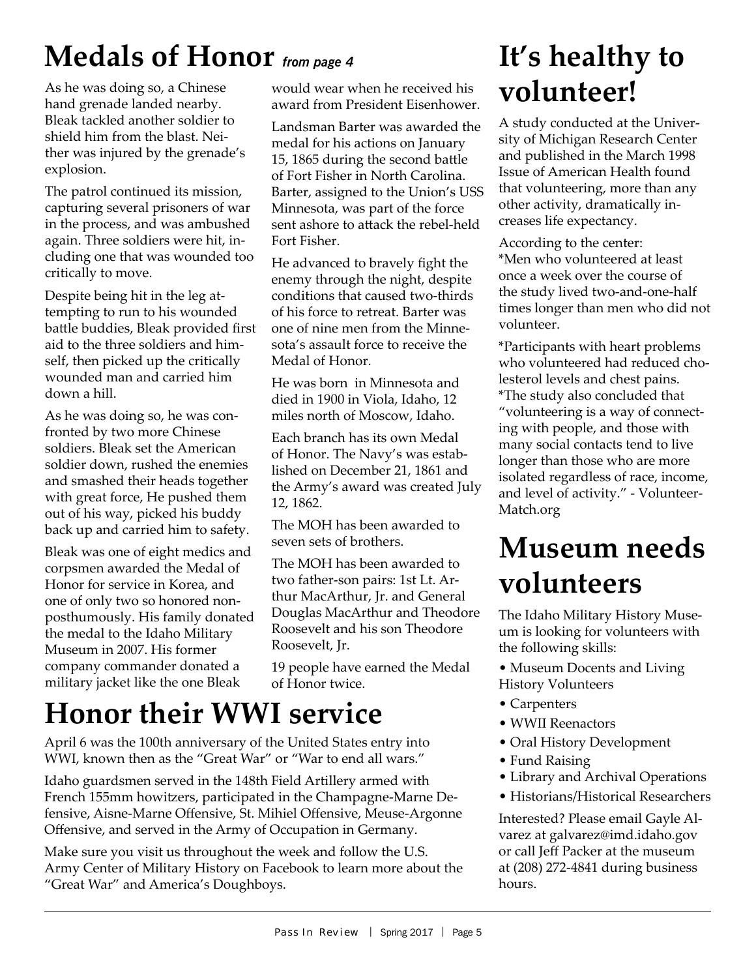# **Medals of Honor** *from page 4*

As he was doing so, a Chinese hand grenade landed nearby. Bleak tackled another soldier to shield him from the blast. Neither was injured by the grenade's explosion.

The patrol continued its mission, capturing several prisoners of war in the process, and was ambushed again. Three soldiers were hit, including one that was wounded too critically to move.

Despite being hit in the leg attempting to run to his wounded battle buddies, Bleak provided first aid to the three soldiers and himself, then picked up the critically wounded man and carried him down a hill.

As he was doing so, he was confronted by two more Chinese soldiers. Bleak set the American soldier down, rushed the enemies and smashed their heads together with great force, He pushed them out of his way, picked his buddy back up and carried him to safety.

Bleak was one of eight medics and corpsmen awarded the Medal of Honor for service in Korea, and one of only two so honored nonposthumously. His family donated the medal to the Idaho Military Museum in 2007. His former company commander donated a military jacket like the one Bleak

would wear when he received his award from President Eisenhower.

Landsman Barter was awarded the medal for his actions on January 15, 1865 during the second battle of Fort Fisher in North Carolina. Barter, assigned to the Union's USS Minnesota, was part of the force sent ashore to attack the rebel-held Fort Fisher.

He advanced to bravely fight the enemy through the night, despite conditions that caused two-thirds of his force to retreat. Barter was one of nine men from the Minnesota's assault force to receive the Medal of Honor.

He was born in Minnesota and died in 1900 in Viola, Idaho, 12 miles north of Moscow, Idaho.

Each branch has its own Medal of Honor. The Navy's was established on December 21, 1861 and the Army's award was created July 12, 1862.

The MOH has been awarded to seven sets of brothers.

The MOH has been awarded to two father-son pairs: 1st Lt. Arthur MacArthur, Jr. and General Douglas MacArthur and Theodore Roosevelt and his son Theodore Roosevelt, Jr.

19 people have earned the Medal of Honor twice.

### **Honor their WWI service**

April 6 was the 100th anniversary of the United States entry into WWI, known then as the "Great War" or "War to end all wars."

Idaho guardsmen served in the 148th Field Artillery armed with French 155mm howitzers, participated in the Champagne-Marne Defensive, Aisne-Marne Offensive, St. Mihiel Offensive, Meuse-Argonne Offensive, and served in the Army of Occupation in Germany.

Make sure you visit us throughout the week and follow the U.S. Army Center of Military History on Facebook to learn more about the "Great War" and America's Doughboys.

### **It's healthy to volunteer!**

A study conducted at the University of Michigan Research Center and published in the March 1998 Issue of American Health found that volunteering, more than any other activity, dramatically increases life expectancy.

According to the center: \*Men who volunteered at least once a week over the course of the study lived two-and-one-half times longer than men who did not volunteer.

\*Participants with heart problems who volunteered had reduced cholesterol levels and chest pains. \*The study also concluded that "volunteering is a way of connecting with people, and those with many social contacts tend to live longer than those who are more isolated regardless of race, income, and level of activity." - Volunteer-Match.org

### **Museum needs volunteers**

The Idaho Military History Museum is looking for volunteers with the following skills:

- Museum Docents and Living History Volunteers
- Carpenters
- WWII Reenactors
- Oral History Development
- Fund Raising
- Library and Archival Operations
- Historians/Historical Researchers

Interested? Please email Gayle Alvarez at galvarez@imd.idaho.gov or call Jeff Packer at the museum at (208) 272-4841 during business hours.